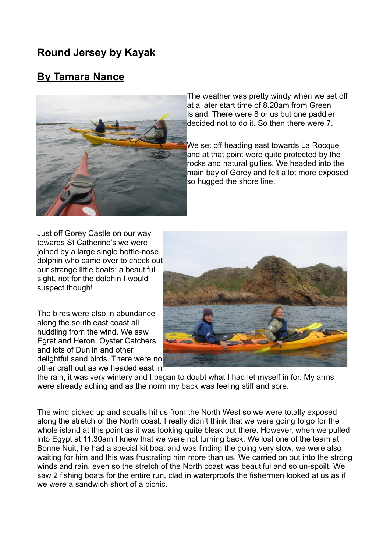## **Round Jersey by Kayak**

## **By Tamara Nance**



The weather was pretty windy when we set off at a later start time of 8.20am from Green Island. There were 8 or us but one paddler decided not to do it. So then there were 7.

We set off heading east towards La Rocque and at that point were quite protected by the rocks and natural gullies. We headed into the main bay of Gorey and felt a lot more exposed so hugged the shore line.

Just off Gorey Castle on our way towards St Catherine's we were joined by a large single bottle-nose dolphin who came over to check out our strange little boats; a beautiful sight, not for the dolphin I would suspect though!

The birds were also in abundance along the south east coast all huddling from the wind. We saw Egret and Heron, Oyster Catchers and lots of Dunlin and other delightful sand birds. There were no other craft out as we headed east in



the rain, it was very wintery and I began to doubt what I had let myself in for. My arms were already aching and as the norm my back was feeling stiff and sore.

The wind picked up and squalls hit us from the North West so we were totally exposed along the stretch of the North coast. I really didn't think that we were going to go for the whole island at this point as it was looking quite bleak out there. However, when we pulled into Egypt at 11.30am I knew that we were not turning back. We lost one of the team at Bonne Nuit, he had a special kit boat and was finding the going very slow, we were also waiting for him and this was frustrating him more than us. We carried on out into the strong winds and rain, even so the stretch of the North coast was beautiful and so un-spoilt. We saw 2 fishing boats for the entire run, clad in waterproofs the fishermen looked at us as if we were a sandwich short of a picnic.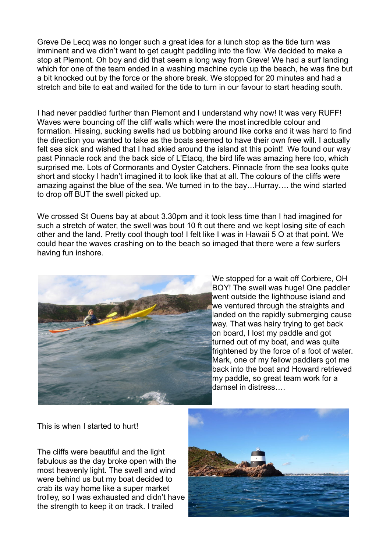Greve De Lecq was no longer such a great idea for a lunch stop as the tide turn was imminent and we didn't want to get caught paddling into the flow. We decided to make a stop at Plemont. Oh boy and did that seem a long way from Greve! We had a surf landing which for one of the team ended in a washing machine cycle up the beach, he was fine but a bit knocked out by the force or the shore break. We stopped for 20 minutes and had a stretch and bite to eat and waited for the tide to turn in our favour to start heading south.

I had never paddled further than Plemont and I understand why now! It was very RUFF! Waves were bouncing off the cliff walls which were the most incredible colour and formation. Hissing, sucking swells had us bobbing around like corks and it was hard to find the direction you wanted to take as the boats seemed to have their own free will. I actually felt sea sick and wished that I had skied around the island at this point! We found our way past Pinnacle rock and the back side of L'Etacq, the bird life was amazing here too, which surprised me. Lots of Cormorants and Oyster Catchers. Pinnacle from the sea looks quite short and stocky I hadn't imagined it to look like that at all. The colours of the cliffs were amazing against the blue of the sea. We turned in to the bay…Hurray…. the wind started to drop off BUT the swell picked up.

We crossed St Ouens bay at about 3.30pm and it took less time than I had imagined for such a stretch of water, the swell was bout 10 ft out there and we kept losing site of each other and the land. Pretty cool though too! I felt like I was in Hawaii 5 O at that point. We could hear the waves crashing on to the beach so imaged that there were a few surfers having fun inshore.



We stopped for a wait off Corbiere, OH BOY! The swell was huge! One paddler went outside the lighthouse island and we ventured through the straights and landed on the rapidly submerging cause way. That was hairy trying to get back on board, I lost my paddle and got turned out of my boat, and was quite frightened by the force of a foot of water. Mark, one of my fellow paddlers got me back into the boat and Howard retrieved my paddle, so great team work for a damsel in distress….

This is when I started to hurt!

The cliffs were beautiful and the light fabulous as the day broke open with the most heavenly light. The swell and wind were behind us but my boat decided to crab its way home like a super market trolley, so I was exhausted and didn't have the strength to keep it on track. I trailed

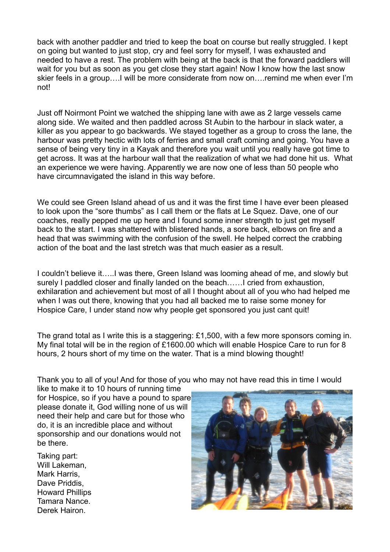back with another paddler and tried to keep the boat on course but really struggled. I kept on going but wanted to just stop, cry and feel sorry for myself, I was exhausted and needed to have a rest. The problem with being at the back is that the forward paddlers will wait for you but as soon as you get close they start again! Now I know how the last snow skier feels in a group….I will be more considerate from now on….remind me when ever I'm not!

Just off Noirmont Point we watched the shipping lane with awe as 2 large vessels came along side. We waited and then paddled across St Aubin to the harbour in slack water, a killer as you appear to go backwards. We stayed together as a group to cross the lane, the harbour was pretty hectic with lots of ferries and small craft coming and going. You have a sense of being very tiny in a Kayak and therefore you wait until you really have got time to get across. It was at the harbour wall that the realization of what we had done hit us. What an experience we were having. Apparently we are now one of less than 50 people who have circumnavigated the island in this way before.

We could see Green Island ahead of us and it was the first time I have ever been pleased to look upon the "sore thumbs" as I call them or the flats at Le Squez. Dave, one of our coaches, really pepped me up here and I found some inner strength to just get myself back to the start. I was shattered with blistered hands, a sore back, elbows on fire and a head that was swimming with the confusion of the swell. He helped correct the crabbing action of the boat and the last stretch was that much easier as a result.

I couldn't believe it…..I was there, Green Island was looming ahead of me, and slowly but surely I paddled closer and finally landed on the beach……I cried from exhaustion, exhilaration and achievement but most of all I thought about all of you who had helped me when I was out there, knowing that you had all backed me to raise some money for Hospice Care, I under stand now why people get sponsored you just cant quit!

The grand total as I write this is a staggering: £1,500, with a few more sponsors coming in. My final total will be in the region of £1600.00 which will enable Hospice Care to run for 8 hours, 2 hours short of my time on the water. That is a mind blowing thought!

Thank you to all of you! And for those of you who may not have read this in time I would

like to make it to 10 hours of running time for Hospice, so if you have a pound to spare please donate it, God willing none of us will need their help and care but for those who do, it is an incredible place and without sponsorship and our donations would not be there.

Taking part: Will Lakeman, Mark Harris, Dave Priddis, Howard Phillips Tamara Nance. Derek Hairon.